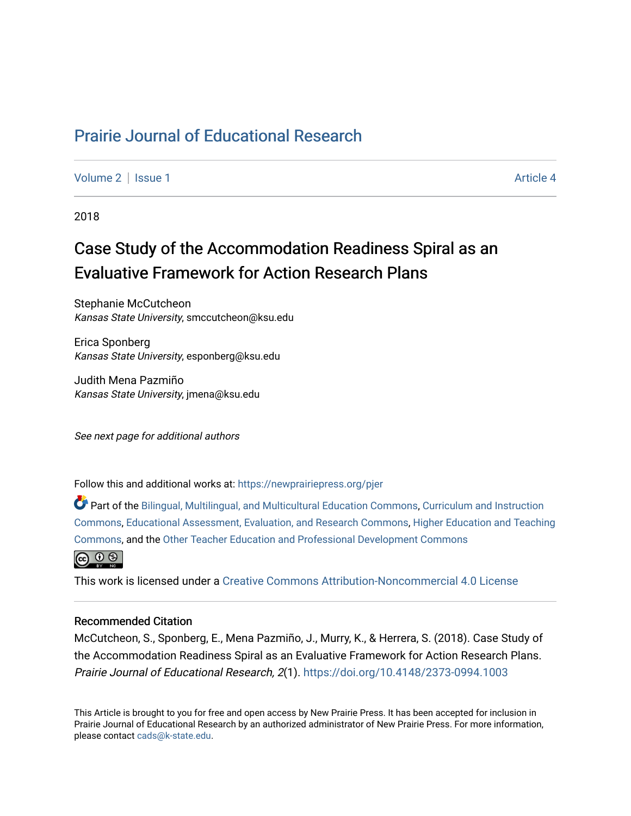## [Prairie Journal of Educational Research](https://newprairiepress.org/pjer)

[Volume 2](https://newprairiepress.org/pjer/vol2) | [Issue 1](https://newprairiepress.org/pjer/vol2/iss1) Article 4

2018

# Case Study of the Accommodation Readiness Spiral as an Evaluative Framework for Action Research Plans

Stephanie McCutcheon Kansas State University, smccutcheon@ksu.edu

Erica Sponberg Kansas State University, esponberg@ksu.edu

Judith Mena Pazmiño Kansas State University, jmena@ksu.edu

See next page for additional authors

Follow this and additional works at: [https://newprairiepress.org/pjer](https://newprairiepress.org/pjer?utm_source=newprairiepress.org%2Fpjer%2Fvol2%2Fiss1%2F4&utm_medium=PDF&utm_campaign=PDFCoverPages) 

Part of the [Bilingual, Multilingual, and Multicultural Education Commons,](http://network.bepress.com/hgg/discipline/785?utm_source=newprairiepress.org%2Fpjer%2Fvol2%2Fiss1%2F4&utm_medium=PDF&utm_campaign=PDFCoverPages) [Curriculum and Instruction](http://network.bepress.com/hgg/discipline/786?utm_source=newprairiepress.org%2Fpjer%2Fvol2%2Fiss1%2F4&utm_medium=PDF&utm_campaign=PDFCoverPages)  [Commons](http://network.bepress.com/hgg/discipline/786?utm_source=newprairiepress.org%2Fpjer%2Fvol2%2Fiss1%2F4&utm_medium=PDF&utm_campaign=PDFCoverPages), [Educational Assessment, Evaluation, and Research Commons,](http://network.bepress.com/hgg/discipline/796?utm_source=newprairiepress.org%2Fpjer%2Fvol2%2Fiss1%2F4&utm_medium=PDF&utm_campaign=PDFCoverPages) [Higher Education and Teaching](http://network.bepress.com/hgg/discipline/806?utm_source=newprairiepress.org%2Fpjer%2Fvol2%2Fiss1%2F4&utm_medium=PDF&utm_campaign=PDFCoverPages) [Commons](http://network.bepress.com/hgg/discipline/806?utm_source=newprairiepress.org%2Fpjer%2Fvol2%2Fiss1%2F4&utm_medium=PDF&utm_campaign=PDFCoverPages), and the [Other Teacher Education and Professional Development Commons](http://network.bepress.com/hgg/discipline/810?utm_source=newprairiepress.org%2Fpjer%2Fvol2%2Fiss1%2F4&utm_medium=PDF&utm_campaign=PDFCoverPages)



This work is licensed under a [Creative Commons Attribution-Noncommercial 4.0 License](https://creativecommons.org/licenses/by-nc/4.0/)

#### Recommended Citation

McCutcheon, S., Sponberg, E., Mena Pazmiño, J., Murry, K., & Herrera, S. (2018). Case Study of the Accommodation Readiness Spiral as an Evaluative Framework for Action Research Plans. Prairie Journal of Educational Research, 2(1). <https://doi.org/10.4148/2373-0994.1003>

This Article is brought to you for free and open access by New Prairie Press. It has been accepted for inclusion in Prairie Journal of Educational Research by an authorized administrator of New Prairie Press. For more information, please contact [cads@k-state.edu.](mailto:cads@k-state.edu)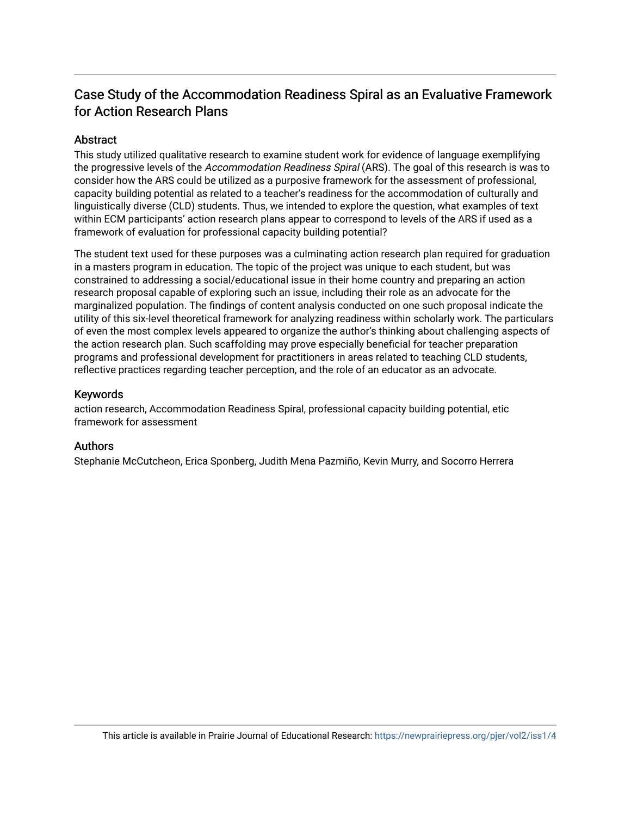## Case Study of the Accommodation Readiness Spiral as an Evaluative Framework for Action Research Plans

## **Abstract**

This study utilized qualitative research to examine student work for evidence of language exemplifying the progressive levels of the Accommodation Readiness Spiral (ARS). The goal of this research is was to consider how the ARS could be utilized as a purposive framework for the assessment of professional, capacity building potential as related to a teacher's readiness for the accommodation of culturally and linguistically diverse (CLD) students. Thus, we intended to explore the question, what examples of text within ECM participants' action research plans appear to correspond to levels of the ARS if used as a framework of evaluation for professional capacity building potential?

The student text used for these purposes was a culminating action research plan required for graduation in a masters program in education. The topic of the project was unique to each student, but was constrained to addressing a social/educational issue in their home country and preparing an action research proposal capable of exploring such an issue, including their role as an advocate for the marginalized population. The findings of content analysis conducted on one such proposal indicate the utility of this six-level theoretical framework for analyzing readiness within scholarly work. The particulars of even the most complex levels appeared to organize the author's thinking about challenging aspects of the action research plan. Such scaffolding may prove especially beneficial for teacher preparation programs and professional development for practitioners in areas related to teaching CLD students, reflective practices regarding teacher perception, and the role of an educator as an advocate.

## Keywords

action research, Accommodation Readiness Spiral, professional capacity building potential, etic framework for assessment

## Authors

Stephanie McCutcheon, Erica Sponberg, Judith Mena Pazmiño, Kevin Murry, and Socorro Herrera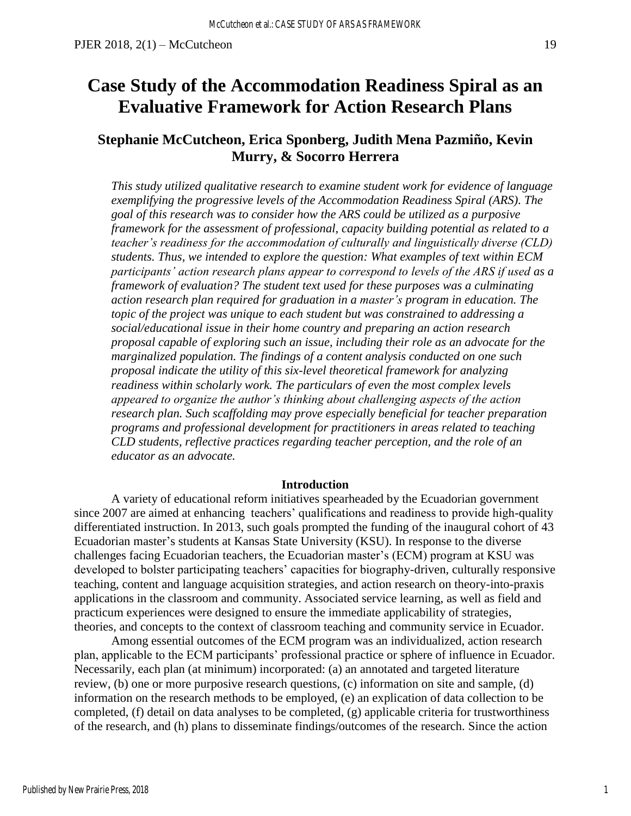# **Case Study of the Accommodation Readiness Spiral as an Evaluative Framework for Action Research Plans**

## **Stephanie McCutcheon, Erica Sponberg, Judith Mena Pazmiño, Kevin Murry, & Socorro Herrera**

*This study utilized qualitative research to examine student work for evidence of language exemplifying the progressive levels of the Accommodation Readiness Spiral (ARS). The goal of this research was to consider how the ARS could be utilized as a purposive framework for the assessment of professional, capacity building potential as related to a teacher's readiness for the accommodation of culturally and linguistically diverse (CLD) students. Thus, we intended to explore the question: What examples of text within ECM participants' action research plans appear to correspond to levels of the ARS if used as a framework of evaluation? The student text used for these purposes was a culminating action research plan required for graduation in a master's program in education. The topic of the project was unique to each student but was constrained to addressing a social/educational issue in their home country and preparing an action research proposal capable of exploring such an issue, including their role as an advocate for the marginalized population. The findings of a content analysis conducted on one such proposal indicate the utility of this six-level theoretical framework for analyzing readiness within scholarly work. The particulars of even the most complex levels appeared to organize the author's thinking about challenging aspects of the action research plan. Such scaffolding may prove especially beneficial for teacher preparation programs and professional development for practitioners in areas related to teaching CLD students, reflective practices regarding teacher perception, and the role of an educator as an advocate.*

### **Introduction**

A variety of educational reform initiatives spearheaded by the Ecuadorian government since 2007 are aimed at enhancing teachers' qualifications and readiness to provide high-quality differentiated instruction. In 2013, such goals prompted the funding of the inaugural cohort of 43 Ecuadorian master's students at Kansas State University (KSU). In response to the diverse challenges facing Ecuadorian teachers, the Ecuadorian master's (ECM) program at KSU was developed to bolster participating teachers' capacities for biography-driven, culturally responsive teaching, content and language acquisition strategies, and action research on theory-into-praxis applications in the classroom and community. Associated service learning, as well as field and practicum experiences were designed to ensure the immediate applicability of strategies, theories, and concepts to the context of classroom teaching and community service in Ecuador.

Among essential outcomes of the ECM program was an individualized, action research plan, applicable to the ECM participants' professional practice or sphere of influence in Ecuador. Necessarily, each plan (at minimum) incorporated: (a) an annotated and targeted literature review, (b) one or more purposive research questions, (c) information on site and sample, (d) information on the research methods to be employed, (e) an explication of data collection to be completed, (f) detail on data analyses to be completed, (g) applicable criteria for trustworthiness of the research, and (h) plans to disseminate findings/outcomes of the research. Since the action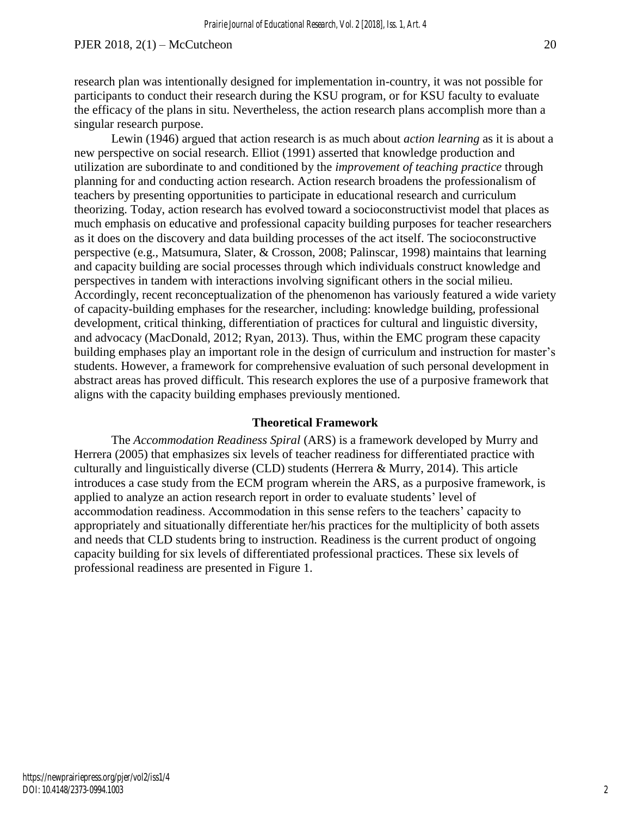research plan was intentionally designed for implementation in-country, it was not possible for participants to conduct their research during the KSU program, or for KSU faculty to evaluate the efficacy of the plans in situ. Nevertheless, the action research plans accomplish more than a singular research purpose.

Lewin (1946) argued that action research is as much about *action learning* as it is about a new perspective on social research. Elliot (1991) asserted that knowledge production and utilization are subordinate to and conditioned by the *improvement of teaching practice* through planning for and conducting action research. Action research broadens the professionalism of teachers by presenting opportunities to participate in educational research and curriculum theorizing. Today, action research has evolved toward a socioconstructivist model that places as much emphasis on educative and professional capacity building purposes for teacher researchers as it does on the discovery and data building processes of the act itself. The socioconstructive perspective (e.g., Matsumura, Slater, & Crosson, 2008; Palinscar, 1998) maintains that learning and capacity building are social processes through which individuals construct knowledge and perspectives in tandem with interactions involving significant others in the social milieu. Accordingly, recent reconceptualization of the phenomenon has variously featured a wide variety of capacity-building emphases for the researcher, including: knowledge building, professional development, critical thinking, differentiation of practices for cultural and linguistic diversity, and advocacy (MacDonald, 2012; Ryan, 2013). Thus, within the EMC program these capacity building emphases play an important role in the design of curriculum and instruction for master's students. However, a framework for comprehensive evaluation of such personal development in abstract areas has proved difficult. This research explores the use of a purposive framework that aligns with the capacity building emphases previously mentioned.

#### **Theoretical Framework**

The *Accommodation Readiness Spiral* (ARS) is a framework developed by Murry and Herrera (2005) that emphasizes six levels of teacher readiness for differentiated practice with culturally and linguistically diverse (CLD) students (Herrera & Murry, 2014). This article introduces a case study from the ECM program wherein the ARS, as a purposive framework, is applied to analyze an action research report in order to evaluate students' level of accommodation readiness. Accommodation in this sense refers to the teachers' capacity to appropriately and situationally differentiate her/his practices for the multiplicity of both assets and needs that CLD students bring to instruction. Readiness is the current product of ongoing capacity building for six levels of differentiated professional practices. These six levels of professional readiness are presented in Figure 1.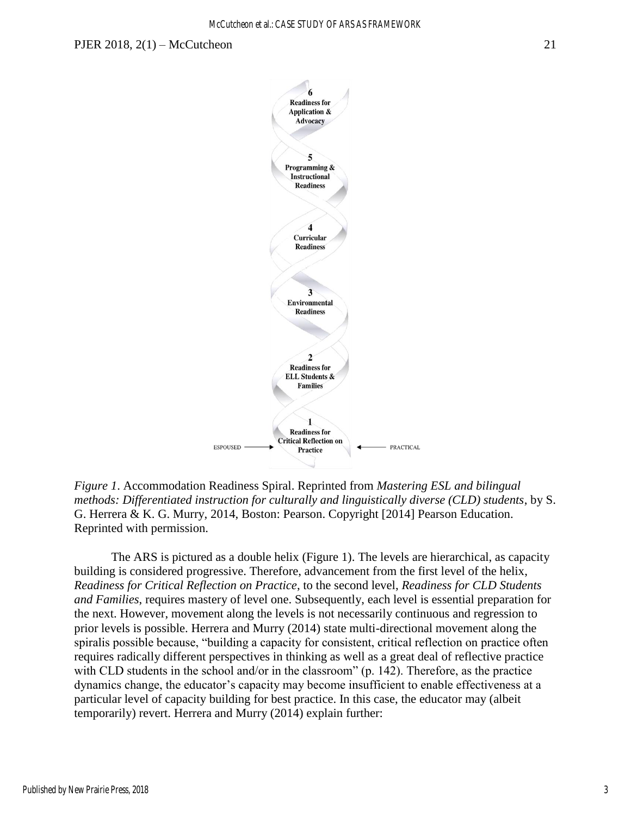

*Figure 1*. Accommodation Readiness Spiral. Reprinted from *Mastering ESL and bilingual methods: Differentiated instruction for culturally and linguistically diverse (CLD) students*, by S. G. Herrera & K. G. Murry, 2014, Boston: Pearson. Copyright [2014] Pearson Education. Reprinted with permission.

The ARS is pictured as a double helix (Figure 1). The levels are hierarchical, as capacity building is considered progressive. Therefore, advancement from the first level of the helix, *Readiness for Critical Reflection on Practice*, to the second level, *Readiness for CLD Students and Families*, requires mastery of level one. Subsequently, each level is essential preparation for the next. However, movement along the levels is not necessarily continuous and regression to prior levels is possible. Herrera and Murry (2014) state multi-directional movement along the spiralis possible because, "building a capacity for consistent, critical reflection on practice often requires radically different perspectives in thinking as well as a great deal of reflective practice with CLD students in the school and/or in the classroom" (p. 142). Therefore, as the practice dynamics change, the educator's capacity may become insufficient to enable effectiveness at a particular level of capacity building for best practice. In this case, the educator may (albeit temporarily) revert. Herrera and Murry (2014) explain further:

Published by New Prairie Press, 2018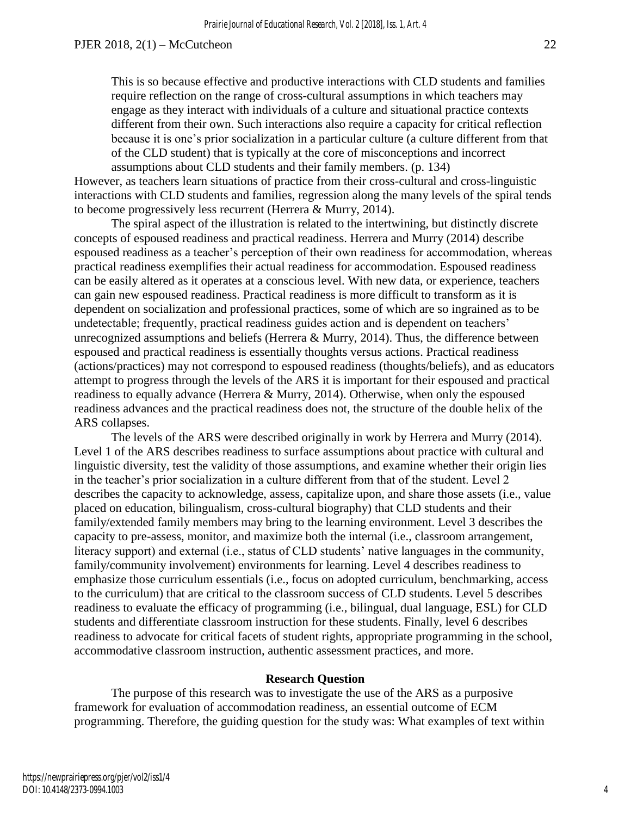This is so because effective and productive interactions with CLD students and families require reflection on the range of cross-cultural assumptions in which teachers may engage as they interact with individuals of a culture and situational practice contexts different from their own. Such interactions also require a capacity for critical reflection because it is one's prior socialization in a particular culture (a culture different from that of the CLD student) that is typically at the core of misconceptions and incorrect assumptions about CLD students and their family members. (p. 134)

However, as teachers learn situations of practice from their cross-cultural and cross-linguistic interactions with CLD students and families, regression along the many levels of the spiral tends to become progressively less recurrent (Herrera & Murry, 2014).

The spiral aspect of the illustration is related to the intertwining, but distinctly discrete concepts of espoused readiness and practical readiness. Herrera and Murry (2014) describe espoused readiness as a teacher's perception of their own readiness for accommodation, whereas practical readiness exemplifies their actual readiness for accommodation. Espoused readiness can be easily altered as it operates at a conscious level. With new data, or experience, teachers can gain new espoused readiness. Practical readiness is more difficult to transform as it is dependent on socialization and professional practices, some of which are so ingrained as to be undetectable; frequently, practical readiness guides action and is dependent on teachers' unrecognized assumptions and beliefs (Herrera & Murry, 2014). Thus, the difference between espoused and practical readiness is essentially thoughts versus actions. Practical readiness (actions/practices) may not correspond to espoused readiness (thoughts/beliefs), and as educators attempt to progress through the levels of the ARS it is important for their espoused and practical readiness to equally advance (Herrera & Murry, 2014). Otherwise, when only the espoused readiness advances and the practical readiness does not, the structure of the double helix of the ARS collapses.

The levels of the ARS were described originally in work by Herrera and Murry (2014). Level 1 of the ARS describes readiness to surface assumptions about practice with cultural and linguistic diversity, test the validity of those assumptions, and examine whether their origin lies in the teacher's prior socialization in a culture different from that of the student. Level 2 describes the capacity to acknowledge, assess, capitalize upon, and share those assets (i.e., value placed on education, bilingualism, cross-cultural biography) that CLD students and their family/extended family members may bring to the learning environment. Level 3 describes the capacity to pre-assess, monitor, and maximize both the internal (i.e., classroom arrangement, literacy support) and external (i.e., status of CLD students' native languages in the community, family/community involvement) environments for learning. Level 4 describes readiness to emphasize those curriculum essentials (i.e., focus on adopted curriculum, benchmarking, access to the curriculum) that are critical to the classroom success of CLD students. Level 5 describes readiness to evaluate the efficacy of programming (i.e., bilingual, dual language, ESL) for CLD students and differentiate classroom instruction for these students. Finally, level 6 describes readiness to advocate for critical facets of student rights, appropriate programming in the school, accommodative classroom instruction, authentic assessment practices, and more.

#### **Research Question**

The purpose of this research was to investigate the use of the ARS as a purposive framework for evaluation of accommodation readiness, an essential outcome of ECM programming. Therefore, the guiding question for the study was: What examples of text within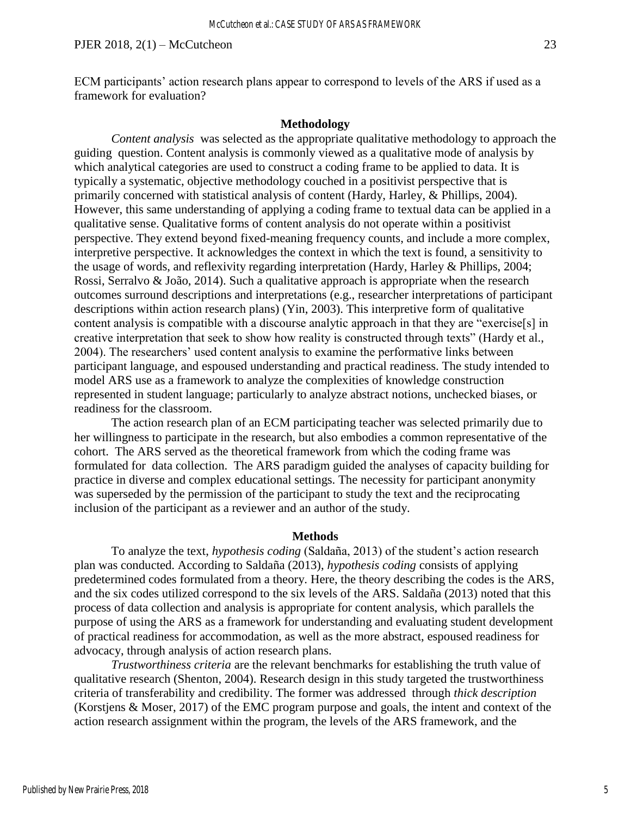ECM participants' action research plans appear to correspond to levels of the ARS if used as a framework for evaluation?

#### **Methodology**

*Content analysis* was selected as the appropriate qualitative methodology to approach the guiding question. Content analysis is commonly viewed as a qualitative mode of analysis by which analytical categories are used to construct a coding frame to be applied to data. It is typically a systematic, objective methodology couched in a positivist perspective that is primarily concerned with statistical analysis of content (Hardy, Harley, & Phillips, 2004). However, this same understanding of applying a coding frame to textual data can be applied in a qualitative sense. Qualitative forms of content analysis do not operate within a positivist perspective. They extend beyond fixed-meaning frequency counts, and include a more complex, interpretive perspective. It acknowledges the context in which the text is found, a sensitivity to the usage of words, and reflexivity regarding interpretation (Hardy, Harley & Phillips, 2004; Rossi, Serralvo & João, 2014). Such a qualitative approach is appropriate when the research outcomes surround descriptions and interpretations (e.g., researcher interpretations of participant descriptions within action research plans) (Yin, 2003). This interpretive form of qualitative content analysis is compatible with a discourse analytic approach in that they are "exercise[s] in creative interpretation that seek to show how reality is constructed through texts" (Hardy et al., 2004). The researchers' used content analysis to examine the performative links between participant language, and espoused understanding and practical readiness. The study intended to model ARS use as a framework to analyze the complexities of knowledge construction represented in student language; particularly to analyze abstract notions, unchecked biases, or readiness for the classroom.

The action research plan of an ECM participating teacher was selected primarily due to her willingness to participate in the research, but also embodies a common representative of the cohort. The ARS served as the theoretical framework from which the coding frame was formulated for data collection. The ARS paradigm guided the analyses of capacity building for practice in diverse and complex educational settings. The necessity for participant anonymity was superseded by the permission of the participant to study the text and the reciprocating inclusion of the participant as a reviewer and an author of the study.

#### **Methods**

 To analyze the text, *hypothesis coding* (Saldaña, 2013) of the student's action research plan was conducted. According to Saldaña (2013), *hypothesis coding* consists of applying predetermined codes formulated from a theory. Here, the theory describing the codes is the ARS, and the six codes utilized correspond to the six levels of the ARS. Saldaña (2013) noted that this process of data collection and analysis is appropriate for content analysis, which parallels the purpose of using the ARS as a framework for understanding and evaluating student development of practical readiness for accommodation, as well as the more abstract, espoused readiness for advocacy, through analysis of action research plans.

 *Trustworthiness criteria* are the relevant benchmarks for establishing the truth value of qualitative research (Shenton, 2004). Research design in this study targeted the trustworthiness criteria of transferability and credibility. The former was addressed through *thick description*  (Korstjens & Moser, 2017) of the EMC program purpose and goals, the intent and context of the action research assignment within the program, the levels of the ARS framework, and the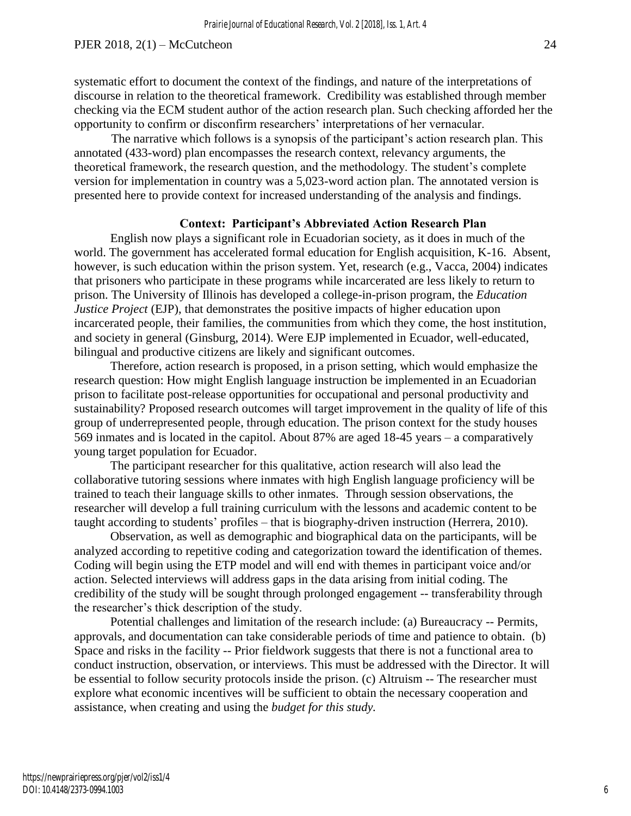The narrative which follows is a synopsis of the participant's action research plan. This annotated (433-word) plan encompasses the research context, relevancy arguments, the theoretical framework, the research question, and the methodology. The student's complete version for implementation in country was a 5,023-word action plan. The annotated version is presented here to provide context for increased understanding of the analysis and findings.

### **Context: Participant's Abbreviated Action Research Plan**

English now plays a significant role in Ecuadorian society, as it does in much of the world. The government has accelerated formal education for English acquisition, K-16. Absent, however, is such education within the prison system. Yet, research (e.g., Vacca, 2004) indicates that prisoners who participate in these programs while incarcerated are less likely to return to prison. The University of Illinois has developed a college-in-prison program, the *Education Justice Project* (EJP), that demonstrates the positive impacts of higher education upon incarcerated people, their families, the communities from which they come, the host institution, and society in general (Ginsburg, 2014). Were EJP implemented in Ecuador, well-educated, bilingual and productive citizens are likely and significant outcomes.

Therefore, action research is proposed, in a prison setting, which would emphasize the research question: How might English language instruction be implemented in an Ecuadorian prison to facilitate post-release opportunities for occupational and personal productivity and sustainability? Proposed research outcomes will target improvement in the quality of life of this group of underrepresented people, through education. The prison context for the study houses 569 inmates and is located in the capitol. About 87% are aged 18-45 years – a comparatively young target population for Ecuador.

The participant researcher for this qualitative, action research will also lead the collaborative tutoring sessions where inmates with high English language proficiency will be trained to teach their language skills to other inmates. Through session observations, the researcher will develop a full training curriculum with the lessons and academic content to be taught according to students' profiles – that is biography-driven instruction (Herrera, 2010).

Observation, as well as demographic and biographical data on the participants, will be analyzed according to repetitive coding and categorization toward the identification of themes. Coding will begin using the ETP model and will end with themes in participant voice and/or action. Selected interviews will address gaps in the data arising from initial coding. The credibility of the study will be sought through prolonged engagement -- transferability through the researcher's thick description of the study.

Potential challenges and limitation of the research include: (a) Bureaucracy -- Permits, approvals, and documentation can take considerable periods of time and patience to obtain. (b) Space and risks in the facility -- Prior fieldwork suggests that there is not a functional area to conduct instruction, observation, or interviews. This must be addressed with the Director. It will be essential to follow security protocols inside the prison. (c) Altruism -- The researcher must explore what economic incentives will be sufficient to obtain the necessary cooperation and assistance, when creating and using the *budget for this study.* 

6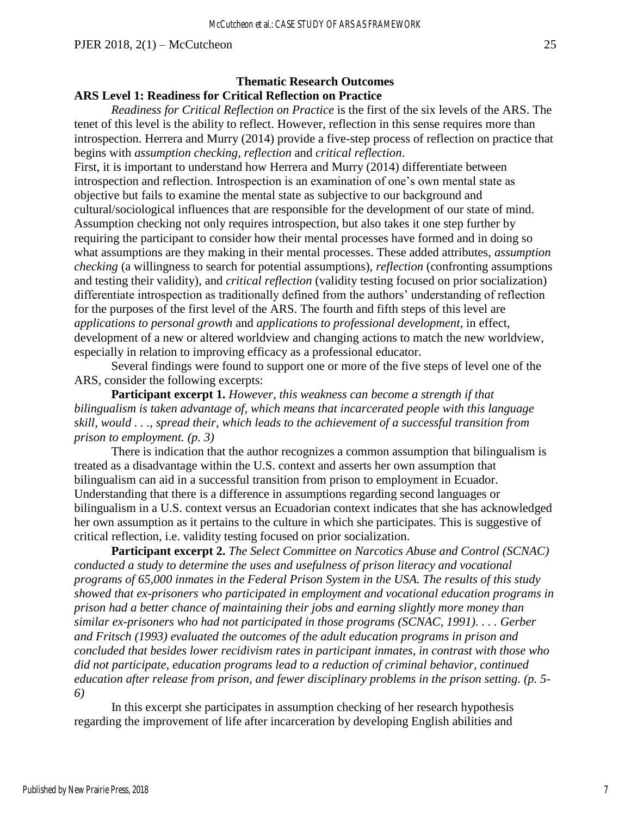## **Thematic Research Outcomes ARS Level 1: Readiness for Critical Reflection on Practice**

 *Readiness for Critical Reflection on Practice* is the first of the six levels of the ARS. The tenet of this level is the ability to reflect. However, reflection in this sense requires more than introspection. Herrera and Murry (2014) provide a five-step process of reflection on practice that begins with *assumption checking*, *reflection* and *critical reflection*.

First, it is important to understand how Herrera and Murry (2014) differentiate between introspection and reflection. Introspection is an examination of one's own mental state as objective but fails to examine the mental state as subjective to our background and cultural/sociological influences that are responsible for the development of our state of mind. Assumption checking not only requires introspection, but also takes it one step further by requiring the participant to consider how their mental processes have formed and in doing so what assumptions are they making in their mental processes. These added attributes, *assumption checking* (a willingness to search for potential assumptions), *reflection* (confronting assumptions and testing their validity), and *critical reflection* (validity testing focused on prior socialization) differentiate introspection as traditionally defined from the authors' understanding of reflection for the purposes of the first level of the ARS. The fourth and fifth steps of this level are *applications to personal growth* and *applications to professional development*, in effect, development of a new or altered worldview and changing actions to match the new worldview, especially in relation to improving efficacy as a professional educator.

 Several findings were found to support one or more of the five steps of level one of the ARS, consider the following excerpts:

**Participant excerpt 1.** *However, this weakness can become a strength if that bilingualism is taken advantage of*, *which means that incarcerated people with this language skill, would . . ., spread their, which leads to the achievement of a successful transition from prison to employment. (p. 3)*

 There is indication that the author recognizes a common assumption that bilingualism is treated as a disadvantage within the U.S. context and asserts her own assumption that bilingualism can aid in a successful transition from prison to employment in Ecuador. Understanding that there is a difference in assumptions regarding second languages or bilingualism in a U.S. context versus an Ecuadorian context indicates that she has acknowledged her own assumption as it pertains to the culture in which she participates. This is suggestive of critical reflection, i.e. validity testing focused on prior socialization.

**Participant excerpt 2.** *The Select Committee on Narcotics Abuse and Control (SCNAC) conducted a study to determine the uses and usefulness of prison literacy and vocational programs of 65,000 inmates in the Federal Prison System in the USA. The results of this study showed that ex-prisoners who participated in employment and vocational education programs in prison had a better chance of maintaining their jobs and earning slightly more money than similar ex-prisoners who had not participated in those programs (SCNAC, 1991). . . . Gerber and Fritsch (1993) evaluated the outcomes of the adult education programs in prison and concluded that besides lower recidivism rates in participant inmates, in contrast with those who did not participate, education programs lead to a reduction of criminal behavior, continued education after release from prison, and fewer disciplinary problems in the prison setting. (p. 5- 6)*

 In this excerpt she participates in assumption checking of her research hypothesis regarding the improvement of life after incarceration by developing English abilities and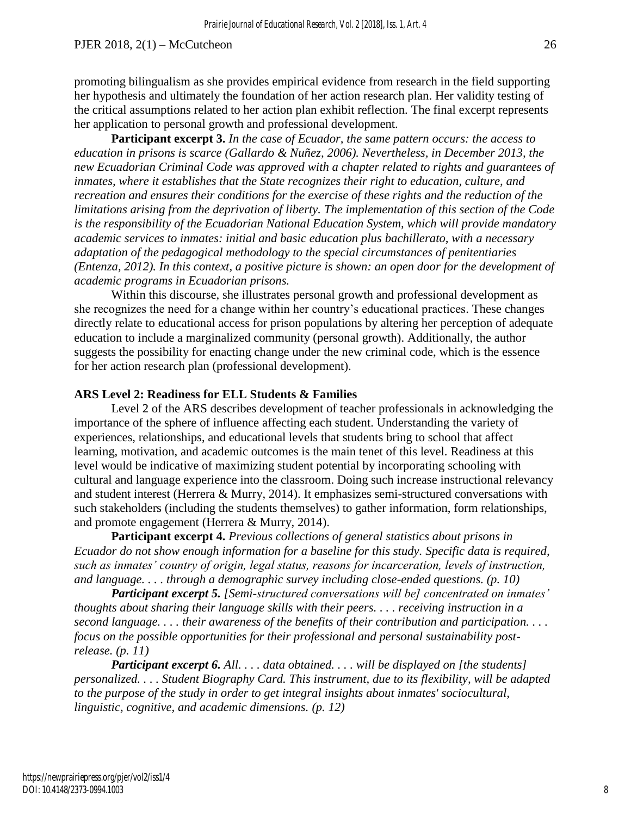**Participant excerpt 3.** *In the case of Ecuador, the same pattern occurs: the access to education in prisons is scarce (Gallardo & Nuñez, 2006). Nevertheless, in December 2013, the new Ecuadorian Criminal Code was approved with a chapter related to rights and guarantees of inmates, where it establishes that the State recognizes their right to education, culture, and recreation and ensures their conditions for the exercise of these rights and the reduction of the limitations arising from the deprivation of liberty. The implementation of this section of the Code is the responsibility of the Ecuadorian National Education System, which will provide mandatory academic services to inmates: initial and basic education plus bachillerato, with a necessary adaptation of the pedagogical methodology to the special circumstances of penitentiaries (Entenza, 2012). In this context, a positive picture is shown: an open door for the development of academic programs in Ecuadorian prisons.*

Within this discourse, she illustrates personal growth and professional development as she recognizes the need for a change within her country's educational practices. These changes directly relate to educational access for prison populations by altering her perception of adequate education to include a marginalized community (personal growth). Additionally, the author suggests the possibility for enacting change under the new criminal code, which is the essence for her action research plan (professional development).

## **ARS Level 2: Readiness for ELL Students & Families**

Level 2 of the ARS describes development of teacher professionals in acknowledging the importance of the sphere of influence affecting each student. Understanding the variety of experiences, relationships, and educational levels that students bring to school that affect learning, motivation, and academic outcomes is the main tenet of this level. Readiness at this level would be indicative of maximizing student potential by incorporating schooling with cultural and language experience into the classroom. Doing such increase instructional relevancy and student interest (Herrera & Murry, 2014). It emphasizes semi-structured conversations with such stakeholders (including the students themselves) to gather information, form relationships, and promote engagement (Herrera & Murry, 2014).

**Participant excerpt 4.** *Previous collections of general statistics about prisons in Ecuador do not show enough information for a baseline for this study. Specific data is required, such as inmates' country of origin, legal status, reasons for incarceration, levels of instruction, and language. . . . through a demographic survey including close-ended questions. (p. 10)* 

*Participant excerpt 5. [Semi-structured conversations will be] concentrated on inmates' thoughts about sharing their language skills with their peers. . . . receiving instruction in a second language. . . . their awareness of the benefits of their contribution and participation. . . . focus on the possible opportunities for their professional and personal sustainability postrelease. (p. 11)* 

*Participant excerpt 6. All. . . . data obtained. . . . will be displayed on [the students] personalized. . . . Student Biography Card. This instrument, due to its flexibility, will be adapted to the purpose of the study in order to get integral insights about inmates' sociocultural, linguistic, cognitive, and academic dimensions. (p. 12)*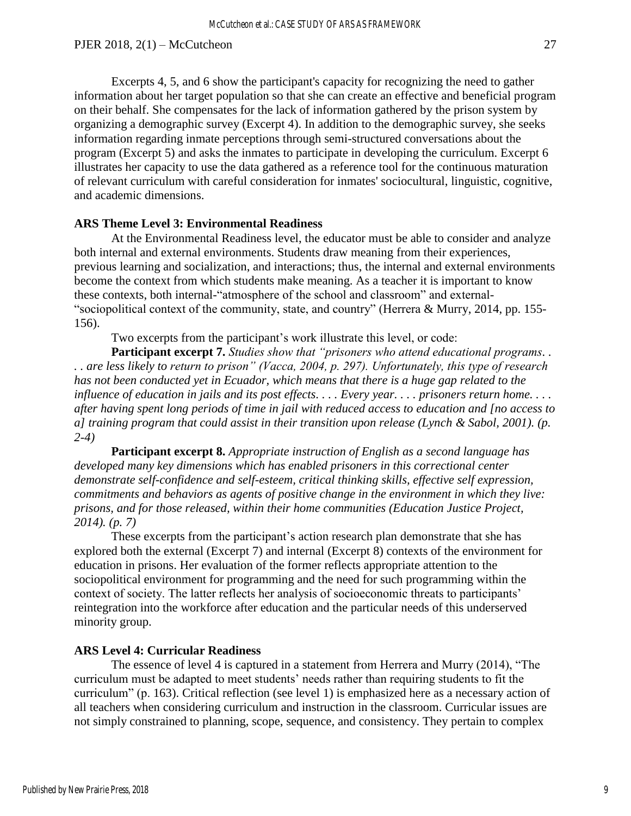Excerpts 4, 5, and 6 show the participant's capacity for recognizing the need to gather information about her target population so that she can create an effective and beneficial program on their behalf. She compensates for the lack of information gathered by the prison system by organizing a demographic survey (Excerpt 4). In addition to the demographic survey, she seeks information regarding inmate perceptions through semi-structured conversations about the program (Excerpt 5) and asks the inmates to participate in developing the curriculum. Excerpt 6 illustrates her capacity to use the data gathered as a reference tool for the continuous maturation of relevant curriculum with careful consideration for inmates' sociocultural, linguistic, cognitive, and academic dimensions.

## **ARS Theme Level 3: Environmental Readiness**

 At the Environmental Readiness level, the educator must be able to consider and analyze both internal and external environments. Students draw meaning from their experiences, previous learning and socialization, and interactions; thus, the internal and external environments become the context from which students make meaning. As a teacher it is important to know these contexts, both internal-"atmosphere of the school and classroom" and external- "sociopolitical context of the community, state, and country" (Herrera & Murry, 2014, pp. 155- 156).

Two excerpts from the participant's work illustrate this level, or code:

**Participant excerpt 7.** *Studies show that "prisoners who attend educational programs. . . . are less likely to return to prison" (Vacca, 2004, p. 297). Unfortunately, this type of research has not been conducted yet in Ecuador, which means that there is a huge gap related to the influence of education in jails and its post effects. . . . Every year. . . . prisoners return home. . . . after having spent long periods of time in jail with reduced access to education and [no access to a] training program that could assist in their transition upon release (Lynch & Sabol, 2001). (p. 2-4)*

**Participant excerpt 8.** *Appropriate instruction of English as a second language has developed many key dimensions which has enabled prisoners in this correctional center demonstrate self-confidence and self-esteem, critical thinking skills, effective self expression, commitments and behaviors as agents of positive change in the environment in which they live: prisons, and for those released, within their home communities (Education Justice Project, 2014). (p. 7)*

 These excerpts from the participant's action research plan demonstrate that she has explored both the external (Excerpt 7) and internal (Excerpt 8) contexts of the environment for education in prisons. Her evaluation of the former reflects appropriate attention to the sociopolitical environment for programming and the need for such programming within the context of society. The latter reflects her analysis of socioeconomic threats to participants' reintegration into the workforce after education and the particular needs of this underserved minority group.

#### **ARS Level 4: Curricular Readiness**

 The essence of level 4 is captured in a statement from Herrera and Murry (2014), "The curriculum must be adapted to meet students' needs rather than requiring students to fit the curriculum" (p. 163). Critical reflection (see level 1) is emphasized here as a necessary action of all teachers when considering curriculum and instruction in the classroom. Curricular issues are not simply constrained to planning, scope, sequence, and consistency. They pertain to complex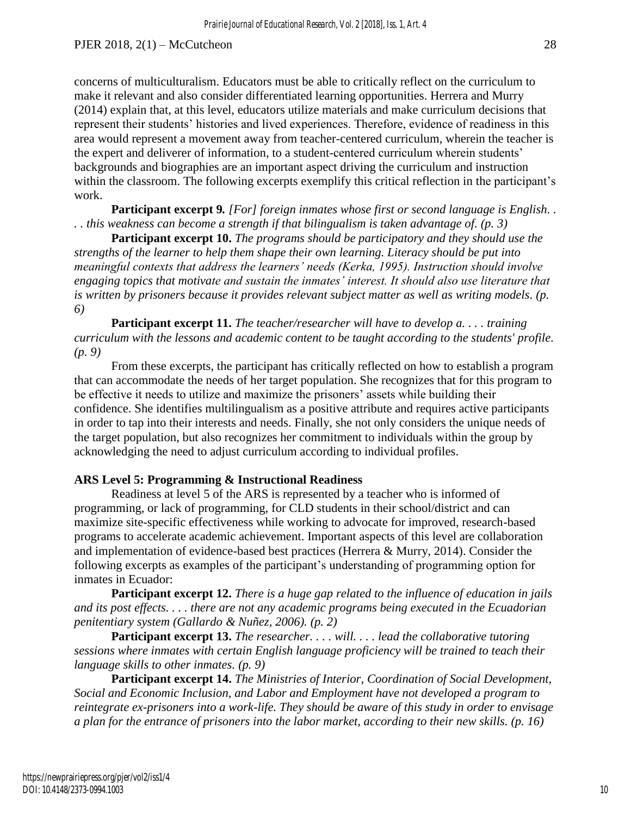concerns of multiculturalism. Educators must be able to critically reflect on the curriculum to make it relevant and also consider differentiated learning opportunities. Herrera and Murry (2014) explain that, at this level, educators utilize materials and make curriculum decisions that represent their students' histories and lived experiences. Therefore, evidence of readiness in this area would represent a movement away from teacher-centered curriculum, wherein the teacher is the expert and deliverer of information, to a student-centered curriculum wherein students' backgrounds and biographies are an important aspect driving the curriculum and instruction within the classroom. The following excerpts exemplify this critical reflection in the participant's work.

**Participant excerpt 9***. [For] foreign inmates whose first or second language is English. . . . this weakness can become a strength if that bilingualism is taken advantage of. (p. 3)*

**Participant excerpt 10.** *The programs should be participatory and they should use the strengths of the learner to help them shape their own learning. Literacy should be put into meaningful contexts that address the learners' needs (Kerka, 1995). Instruction should involve engaging topics that motivate and sustain the inmates' interest. It should also use literature that is written by prisoners because it provides relevant subject matter as well as writing models. (p. 6)*

**Participant excerpt 11.** *The teacher/researcher will have to develop a. . . . training curriculum with the lessons and academic content to be taught according to the students' profile. (p. 9)*

From these excerpts, the participant has critically reflected on how to establish a program that can accommodate the needs of her target population. She recognizes that for this program to be effective it needs to utilize and maximize the prisoners' assets while building their confidence. She identifies multilingualism as a positive attribute and requires active participants in order to tap into their interests and needs. Finally, she not only considers the unique needs of the target population, but also recognizes her commitment to individuals within the group by acknowledging the need to adjust curriculum according to individual profiles.

#### **ARS Level 5: Programming & Instructional Readiness**

 Readiness at level 5 of the ARS is represented by a teacher who is informed of programming, or lack of programming, for CLD students in their school/district and can maximize site-specific effectiveness while working to advocate for improved, research-based programs to accelerate academic achievement. Important aspects of this level are collaboration and implementation of evidence-based best practices (Herrera & Murry, 2014). Consider the following excerpts as examples of the participant's understanding of programming option for inmates in Ecuador:

**Participant excerpt 12.** *There is a huge gap related to the influence of education in jails and its post effects. . . . there are not any academic programs being executed in the Ecuadorian penitentiary system (Gallardo & Nuñez, 2006). (p. 2)*

**Participant excerpt 13.** *The researcher. . . . will. . . . lead the collaborative tutoring sessions where inmates with certain English language proficiency will be trained to teach their language skills to other inmates. (p. 9)*

**Participant excerpt 14.** *The Ministries of Interior, Coordination of Social Development, Social and Economic Inclusion, and Labor and Employment have not developed a program to reintegrate ex-prisoners into a work-life. They should be aware of this study in order to envisage a plan for the entrance of prisoners into the labor market, according to their new skills. (p. 16)*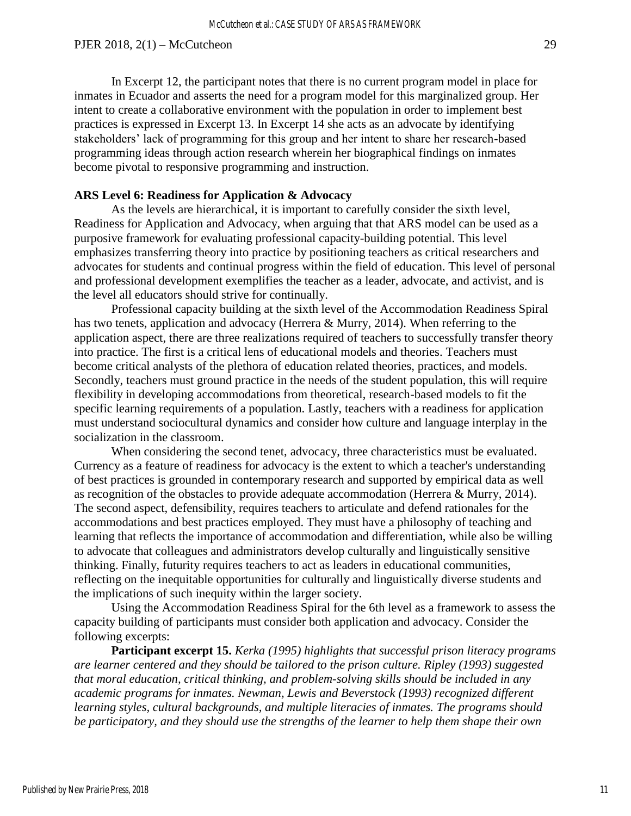practices is expressed in Excerpt 13. In Excerpt 14 she acts as an advocate by identifying stakeholders' lack of programming for this group and her intent to share her research-based programming ideas through action research wherein her biographical findings on inmates become pivotal to responsive programming and instruction.

#### **ARS Level 6: Readiness for Application & Advocacy**

As the levels are hierarchical, it is important to carefully consider the sixth level, Readiness for Application and Advocacy, when arguing that that ARS model can be used as a purposive framework for evaluating professional capacity-building potential. This level emphasizes transferring theory into practice by positioning teachers as critical researchers and advocates for students and continual progress within the field of education. This level of personal and professional development exemplifies the teacher as a leader, advocate, and activist, and is the level all educators should strive for continually.

 Professional capacity building at the sixth level of the Accommodation Readiness Spiral has two tenets, application and advocacy (Herrera & Murry, 2014). When referring to the application aspect, there are three realizations required of teachers to successfully transfer theory into practice. The first is a critical lens of educational models and theories. Teachers must become critical analysts of the plethora of education related theories, practices, and models. Secondly, teachers must ground practice in the needs of the student population, this will require flexibility in developing accommodations from theoretical, research-based models to fit the specific learning requirements of a population. Lastly, teachers with a readiness for application must understand sociocultural dynamics and consider how culture and language interplay in the socialization in the classroom.

 When considering the second tenet, advocacy, three characteristics must be evaluated. Currency as a feature of readiness for advocacy is the extent to which a teacher's understanding of best practices is grounded in contemporary research and supported by empirical data as well as recognition of the obstacles to provide adequate accommodation (Herrera & Murry, 2014). The second aspect, defensibility, requires teachers to articulate and defend rationales for the accommodations and best practices employed. They must have a philosophy of teaching and learning that reflects the importance of accommodation and differentiation, while also be willing to advocate that colleagues and administrators develop culturally and linguistically sensitive thinking. Finally, futurity requires teachers to act as leaders in educational communities, reflecting on the inequitable opportunities for culturally and linguistically diverse students and the implications of such inequity within the larger society.

 Using the Accommodation Readiness Spiral for the 6th level as a framework to assess the capacity building of participants must consider both application and advocacy. Consider the following excerpts:

**Participant excerpt 15.** *Kerka (1995) highlights that successful prison literacy programs are learner centered and they should be tailored to the prison culture. Ripley (1993) suggested that moral education, critical thinking, and problem-solving skills should be included in any academic programs for inmates. Newman, Lewis and Beverstock (1993) recognized different learning styles, cultural backgrounds, and multiple literacies of inmates. The programs should be participatory, and they should use the strengths of the learner to help them shape their own*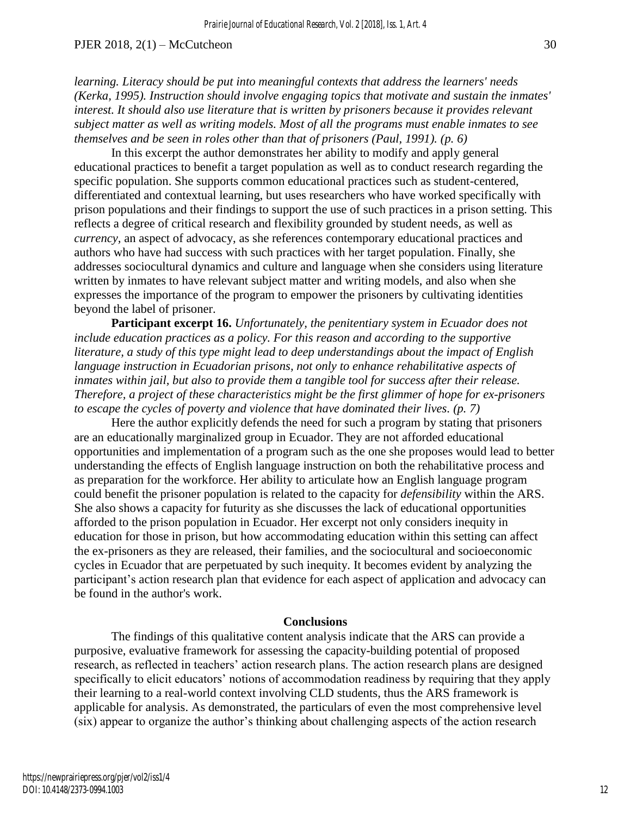*learning. Literacy should be put into meaningful contexts that address the learners' needs (Kerka, 1995). Instruction should involve engaging topics that motivate and sustain the inmates' interest. It should also use literature that is written by prisoners because it provides relevant subject matter as well as writing models. Most of all the programs must enable inmates to see themselves and be seen in roles other than that of prisoners (Paul, 1991). (p. 6)*

In this excerpt the author demonstrates her ability to modify and apply general educational practices to benefit a target population as well as to conduct research regarding the specific population. She supports common educational practices such as student-centered, differentiated and contextual learning, but uses researchers who have worked specifically with prison populations and their findings to support the use of such practices in a prison setting. This reflects a degree of critical research and flexibility grounded by student needs, as well as *currency,* an aspect of advocacy, as she references contemporary educational practices and authors who have had success with such practices with her target population. Finally, she addresses sociocultural dynamics and culture and language when she considers using literature written by inmates to have relevant subject matter and writing models, and also when she expresses the importance of the program to empower the prisoners by cultivating identities beyond the label of prisoner.

**Participant excerpt 16.** *Unfortunately, the penitentiary system in Ecuador does not include education practices as a policy. For this reason and according to the supportive literature, a study of this type might lead to deep understandings about the impact of English language instruction in Ecuadorian prisons, not only to enhance rehabilitative aspects of inmates within jail, but also to provide them a tangible tool for success after their release. Therefore, a project of these characteristics might be the first glimmer of hope for ex-prisoners to escape the cycles of poverty and violence that have dominated their lives. (p. 7)*

 Here the author explicitly defends the need for such a program by stating that prisoners are an educationally marginalized group in Ecuador. They are not afforded educational opportunities and implementation of a program such as the one she proposes would lead to better understanding the effects of English language instruction on both the rehabilitative process and as preparation for the workforce. Her ability to articulate how an English language program could benefit the prisoner population is related to the capacity for *defensibility* within the ARS. She also shows a capacity for futurity as she discusses the lack of educational opportunities afforded to the prison population in Ecuador. Her excerpt not only considers inequity in education for those in prison, but how accommodating education within this setting can affect the ex-prisoners as they are released, their families, and the sociocultural and socioeconomic cycles in Ecuador that are perpetuated by such inequity. It becomes evident by analyzing the participant's action research plan that evidence for each aspect of application and advocacy can be found in the author's work.

#### **Conclusions**

The findings of this qualitative content analysis indicate that the ARS can provide a purposive, evaluative framework for assessing the capacity-building potential of proposed research, as reflected in teachers' action research plans. The action research plans are designed specifically to elicit educators' notions of accommodation readiness by requiring that they apply their learning to a real-world context involving CLD students, thus the ARS framework is applicable for analysis. As demonstrated, the particulars of even the most comprehensive level (six) appear to organize the author's thinking about challenging aspects of the action research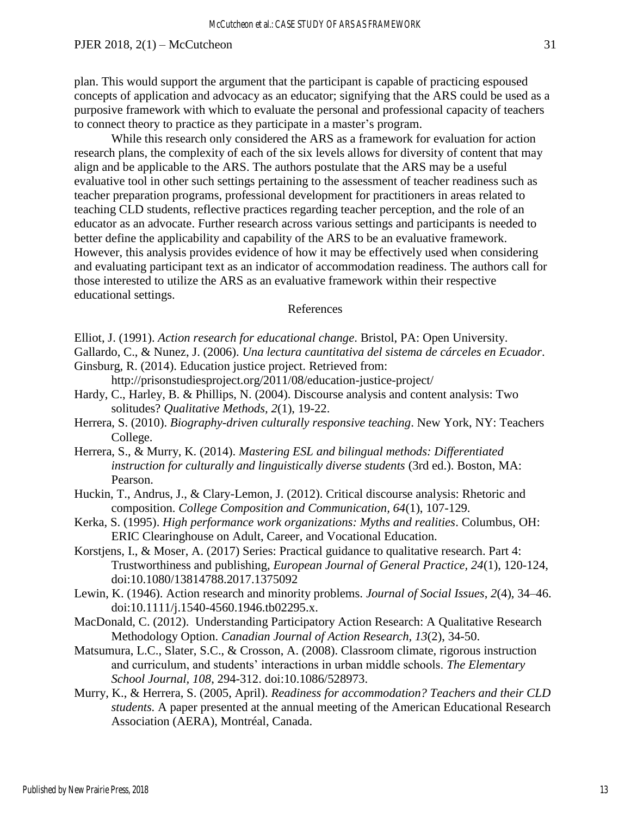plan. This would support the argument that the participant is capable of practicing espoused concepts of application and advocacy as an educator; signifying that the ARS could be used as a purposive framework with which to evaluate the personal and professional capacity of teachers to connect theory to practice as they participate in a master's program.

While this research only considered the ARS as a framework for evaluation for action research plans, the complexity of each of the six levels allows for diversity of content that may align and be applicable to the ARS. The authors postulate that the ARS may be a useful evaluative tool in other such settings pertaining to the assessment of teacher readiness such as teacher preparation programs, professional development for practitioners in areas related to teaching CLD students, reflective practices regarding teacher perception, and the role of an educator as an advocate. Further research across various settings and participants is needed to better define the applicability and capability of the ARS to be an evaluative framework. However, this analysis provides evidence of how it may be effectively used when considering and evaluating participant text as an indicator of accommodation readiness. The authors call for those interested to utilize the ARS as an evaluative framework within their respective educational settings.

## References

- Gallardo, C., & Nunez, J. (2006). *Una lectura cauntitativa del sistema de cárceles en Ecuador*. Ginsburg, R. (2014). Education justice project. Retrieved from:
	- http://prisonstudiesproject.org/2011/08/education-justice-project/
- Hardy, C., Harley, B. & Phillips, N. (2004). Discourse analysis and content analysis: Two solitudes? *Qualitative Methods, 2*(1), 19-22.
- Herrera, S. (2010). *Biography-driven culturally responsive teaching*. New York, NY: Teachers College.
- Herrera, S., & Murry, K. (2014). *Mastering ESL and bilingual methods: Differentiated instruction for culturally and linguistically diverse students* (3rd ed.). Boston, MA: Pearson.
- Huckin, T., Andrus, J., & Clary-Lemon, J. (2012). Critical discourse analysis: Rhetoric and composition. *College Composition and Communication, 64*(1), 107-129.
- Kerka, S. (1995). *High performance work organizations: Myths and realities*. Columbus, OH: ERIC Clearinghouse on Adult, Career, and Vocational Education.
- Korstjens, I., & Moser, A. (2017) Series: Practical guidance to qualitative research. Part 4: Trustworthiness and publishing, *European Journal of General Practice, 24*(1), 120-124, doi:10.1080/13814788.2017.1375092
- Lewin, K. (1946). Action research and minority problems. *Journal of Social Issues*, *2*(4), 34–46. doi:10.1111/j.1540-4560.1946.tb02295.x.
- MacDonald, C. (2012). Understanding Participatory Action Research: A Qualitative Research Methodology Option. *Canadian Journal of Action Research, 13*(2), 34-50.
- Matsumura, L.C., Slater, S.C., & Crosson, A. (2008). Classroom climate, rigorous instruction and curriculum, and students' interactions in urban middle schools. *The Elementary School Journal, 108*, 294-312. doi:10.1086/528973.
- Murry, K., & Herrera, S. (2005, April). *Readiness for accommodation? Teachers and their CLD students.* A paper presented at the annual meeting of the American Educational Research Association (AERA), Montréal, Canada.

Elliot, J. (1991). *Action research for educational change*. Bristol, PA: Open University.